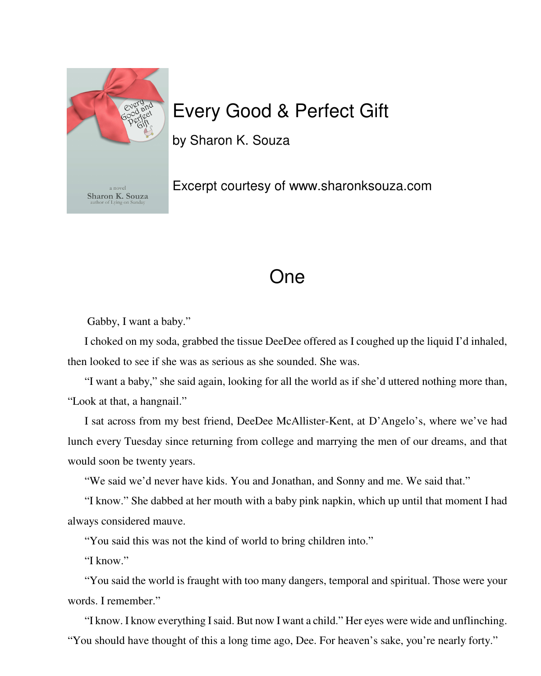

## Every Good & Perfect Gift

by Sharon K. Souza

Excerpt courtesy of www.sharonksouza.com

## One

Gabby, I want a baby."

I choked on my soda, grabbed the tissue DeeDee offered as I coughed up the liquid I'd inhaled, then looked to see if she was as serious as she sounded. She was.

"I want a baby," she said again, looking for all the world as if she'd uttered nothing more than, "Look at that, a hangnail."

I sat across from my best friend, DeeDee McAllister-Kent, at D'Angelo's, where we've had lunch every Tuesday since returning from college and marrying the men of our dreams, and that would soon be twenty years.

"We said we'd never have kids. You and Jonathan, and Sonny and me. We said that."

"I know." She dabbed at her mouth with a baby pink napkin, which up until that moment I had always considered mauve.

"You said this was not the kind of world to bring children into."

"I know."

"You said the world is fraught with too many dangers, temporal and spiritual. Those were your words. I remember."

"I know. I know everything I said. But now I want a child." Her eyes were wide and unflinching. "You should have thought of this a long time ago, Dee. For heaven's sake, you're nearly forty."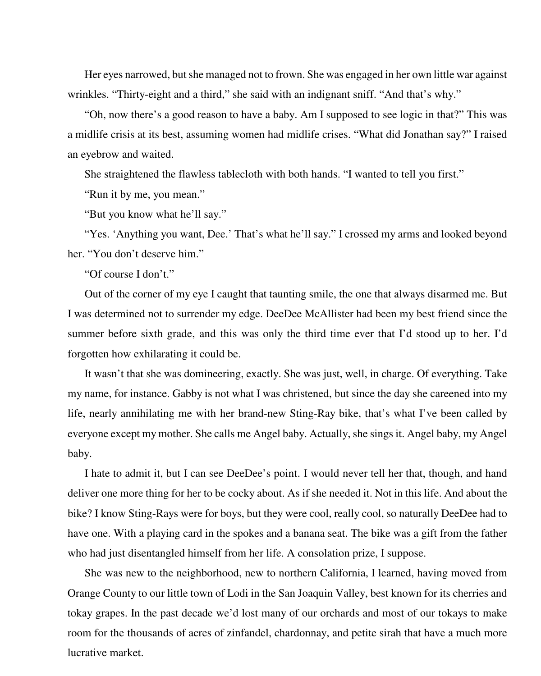Her eyes narrowed, but she managed not to frown. She was engaged in her own little war against wrinkles. "Thirty-eight and a third," she said with an indignant sniff. "And that's why."

"Oh, now there's a good reason to have a baby. Am I supposed to see logic in that?" This was a midlife crisis at its best, assuming women had midlife crises. "What did Jonathan say?" I raised an eyebrow and waited.

She straightened the flawless tablecloth with both hands. "I wanted to tell you first."

"Run it by me, you mean."

"But you know what he'll say."

"Yes. 'Anything you want, Dee.' That's what he'll say." I crossed my arms and looked beyond her. "You don't deserve him."

"Of course I don't."

Out of the corner of my eye I caught that taunting smile, the one that always disarmed me. But I was determined not to surrender my edge. DeeDee McAllister had been my best friend since the summer before sixth grade, and this was only the third time ever that I'd stood up to her. I'd forgotten how exhilarating it could be.

It wasn't that she was domineering, exactly. She was just, well, in charge. Of everything. Take my name, for instance. Gabby is not what I was christened, but since the day she careened into my life, nearly annihilating me with her brand-new Sting-Ray bike, that's what I've been called by everyone except my mother. She calls me Angel baby. Actually, she sings it. Angel baby, my Angel baby.

I hate to admit it, but I can see DeeDee's point. I would never tell her that, though, and hand deliver one more thing for her to be cocky about. As if she needed it. Not in this life. And about the bike? I know Sting-Rays were for boys, but they were cool, really cool, so naturally DeeDee had to have one. With a playing card in the spokes and a banana seat. The bike was a gift from the father who had just disentangled himself from her life. A consolation prize, I suppose.

She was new to the neighborhood, new to northern California, I learned, having moved from Orange County to our little town of Lodi in the San Joaquin Valley, best known for its cherries and tokay grapes. In the past decade we'd lost many of our orchards and most of our tokays to make room for the thousands of acres of zinfandel, chardonnay, and petite sirah that have a much more lucrative market.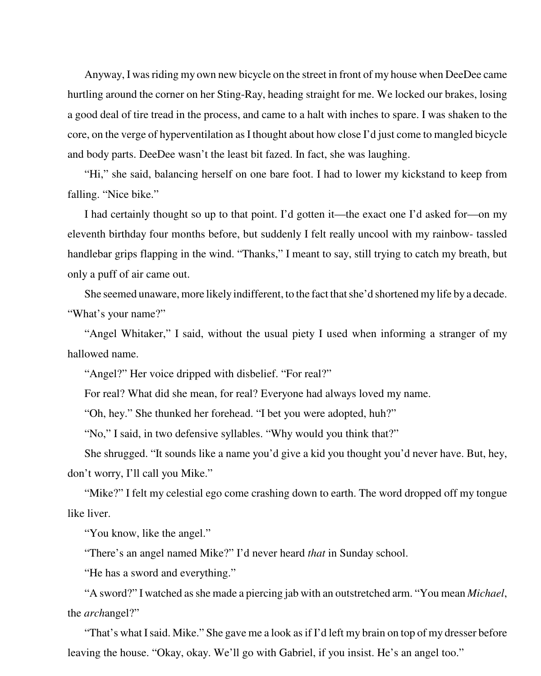Anyway, I was riding my own new bicycle on the street in front of my house when DeeDee came hurtling around the corner on her Sting-Ray, heading straight for me. We locked our brakes, losing a good deal of tire tread in the process, and came to a halt with inches to spare. I was shaken to the core, on the verge of hyperventilation as I thought about how close I'd just come to mangled bicycle and body parts. DeeDee wasn't the least bit fazed. In fact, she was laughing.

"Hi," she said, balancing herself on one bare foot. I had to lower my kickstand to keep from falling. "Nice bike."

I had certainly thought so up to that point. I'd gotten it—the exact one I'd asked for—on my eleventh birthday four months before, but suddenly I felt really uncool with my rainbow- tassled handlebar grips flapping in the wind. "Thanks," I meant to say, still trying to catch my breath, but only a puff of air came out.

She seemed unaware, more likely indifferent, to the fact that she'd shortened my life by a decade. "What's your name?"

"Angel Whitaker," I said, without the usual piety I used when informing a stranger of my hallowed name.

"Angel?" Her voice dripped with disbelief. "For real?"

For real? What did she mean, for real? Everyone had always loved my name.

"Oh, hey." She thunked her forehead. "I bet you were adopted, huh?"

"No," I said, in two defensive syllables. "Why would you think that?"

She shrugged. "It sounds like a name you'd give a kid you thought you'd never have. But, hey, don't worry, I'll call you Mike."

"Mike?" I felt my celestial ego come crashing down to earth. The word dropped off my tongue like liver.

"You know, like the angel."

"There's an angel named Mike?" I'd never heard *that* in Sunday school.

"He has a sword and everything."

"A sword?" I watched as she made a piercing jab with an outstretched arm. "You mean *Michael*, the *arch*angel?"

"That's what I said. Mike." She gave me a look as if I'd left my brain on top of my dresser before leaving the house. "Okay, okay. We'll go with Gabriel, if you insist. He's an angel too."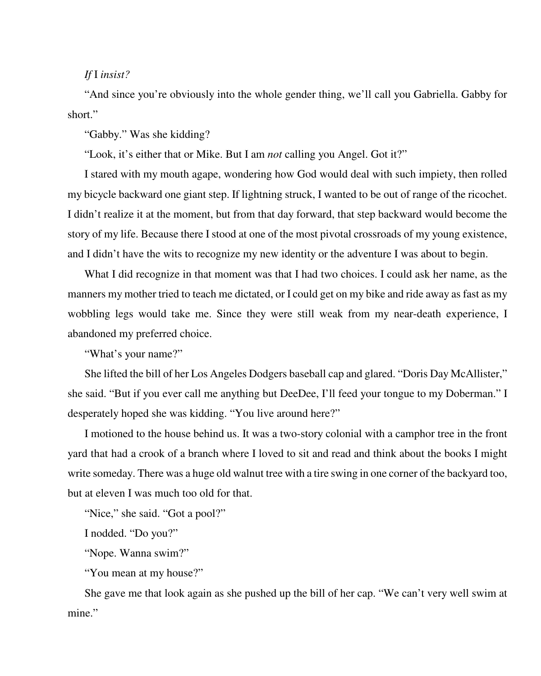## *If* I *insist?*

"And since you're obviously into the whole gender thing, we'll call you Gabriella. Gabby for short."

"Gabby." Was she kidding?

"Look, it's either that or Mike. But I am *not* calling you Angel. Got it?"

I stared with my mouth agape, wondering how God would deal with such impiety, then rolled my bicycle backward one giant step. If lightning struck, I wanted to be out of range of the ricochet. I didn't realize it at the moment, but from that day forward, that step backward would become the story of my life. Because there I stood at one of the most pivotal crossroads of my young existence, and I didn't have the wits to recognize my new identity or the adventure I was about to begin.

What I did recognize in that moment was that I had two choices. I could ask her name, as the manners my mother tried to teach me dictated, or I could get on my bike and ride away as fast as my wobbling legs would take me. Since they were still weak from my near-death experience, I abandoned my preferred choice.

"What's your name?"

She lifted the bill of her Los Angeles Dodgers baseball cap and glared. "Doris Day McAllister," she said. "But if you ever call me anything but DeeDee, I'll feed your tongue to my Doberman." I desperately hoped she was kidding. "You live around here?"

I motioned to the house behind us. It was a two-story colonial with a camphor tree in the front yard that had a crook of a branch where I loved to sit and read and think about the books I might write someday. There was a huge old walnut tree with a tire swing in one corner of the backyard too, but at eleven I was much too old for that.

"Nice," she said. "Got a pool?"

I nodded. "Do you?"

"Nope. Wanna swim?"

"You mean at my house?"

She gave me that look again as she pushed up the bill of her cap. "We can't very well swim at mine."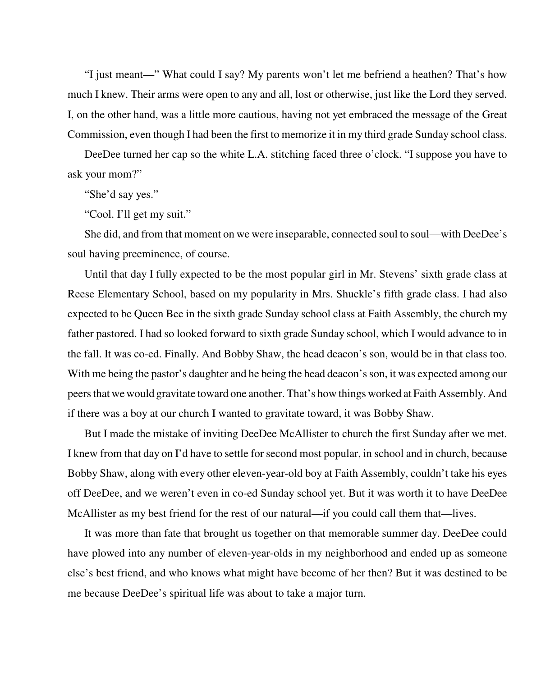"I just meant—" What could I say? My parents won't let me befriend a heathen? That's how much I knew. Their arms were open to any and all, lost or otherwise, just like the Lord they served. I, on the other hand, was a little more cautious, having not yet embraced the message of the Great Commission, even though I had been the first to memorize it in my third grade Sunday school class.

DeeDee turned her cap so the white L.A. stitching faced three o'clock. "I suppose you have to ask your mom?"

"She'd say yes."

"Cool. I'll get my suit."

She did, and from that moment on we were inseparable, connected soul to soul—with DeeDee's soul having preeminence, of course.

Until that day I fully expected to be the most popular girl in Mr. Stevens' sixth grade class at Reese Elementary School, based on my popularity in Mrs. Shuckle's fifth grade class. I had also expected to be Queen Bee in the sixth grade Sunday school class at Faith Assembly, the church my father pastored. I had so looked forward to sixth grade Sunday school, which I would advance to in the fall. It was co-ed. Finally. And Bobby Shaw, the head deacon's son, would be in that class too. With me being the pastor's daughter and he being the head deacon's son, it was expected among our peers that we would gravitate toward one another. That's how things worked at Faith Assembly. And if there was a boy at our church I wanted to gravitate toward, it was Bobby Shaw.

But I made the mistake of inviting DeeDee McAllister to church the first Sunday after we met. I knew from that day on I'd have to settle for second most popular, in school and in church, because Bobby Shaw, along with every other eleven-year-old boy at Faith Assembly, couldn't take his eyes off DeeDee, and we weren't even in co-ed Sunday school yet. But it was worth it to have DeeDee McAllister as my best friend for the rest of our natural—if you could call them that—lives.

It was more than fate that brought us together on that memorable summer day. DeeDee could have plowed into any number of eleven-year-olds in my neighborhood and ended up as someone else's best friend, and who knows what might have become of her then? But it was destined to be me because DeeDee's spiritual life was about to take a major turn.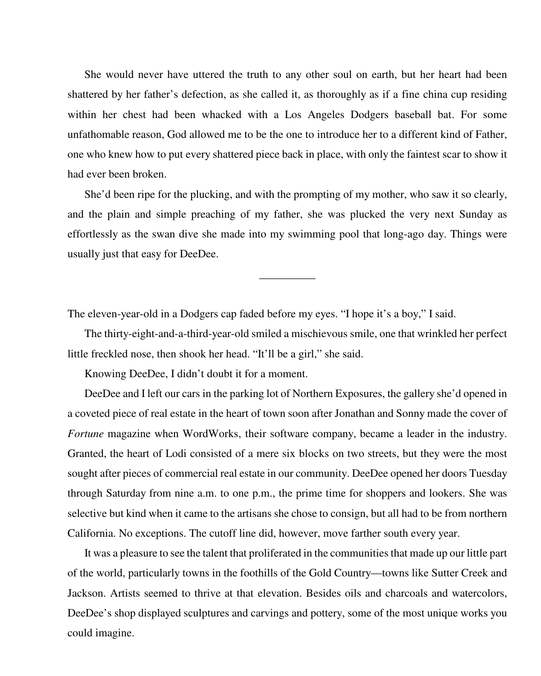She would never have uttered the truth to any other soul on earth, but her heart had been shattered by her father's defection, as she called it, as thoroughly as if a fine china cup residing within her chest had been whacked with a Los Angeles Dodgers baseball bat. For some unfathomable reason, God allowed me to be the one to introduce her to a different kind of Father, one who knew how to put every shattered piece back in place, with only the faintest scar to show it had ever been broken.

She'd been ripe for the plucking, and with the prompting of my mother, who saw it so clearly, and the plain and simple preaching of my father, she was plucked the very next Sunday as effortlessly as the swan dive she made into my swimming pool that long-ago day. Things were usually just that easy for DeeDee.

 $\overline{\phantom{a}}$  , where  $\overline{\phantom{a}}$ 

The eleven-year-old in a Dodgers cap faded before my eyes. "I hope it's a boy," I said.

The thirty-eight-and-a-third-year-old smiled a mischievous smile, one that wrinkled her perfect little freckled nose, then shook her head. "It'll be a girl," she said.

Knowing DeeDee, I didn't doubt it for a moment.

DeeDee and I left our cars in the parking lot of Northern Exposures, the gallery she'd opened in a coveted piece of real estate in the heart of town soon after Jonathan and Sonny made the cover of *Fortune* magazine when WordWorks, their software company, became a leader in the industry. Granted, the heart of Lodi consisted of a mere six blocks on two streets, but they were the most sought after pieces of commercial real estate in our community. DeeDee opened her doors Tuesday through Saturday from nine a.m. to one p.m., the prime time for shoppers and lookers. She was selective but kind when it came to the artisans she chose to consign, but all had to be from northern California. No exceptions. The cutoff line did, however, move farther south every year.

It was a pleasure to see the talent that proliferated in the communities that made up our little part of the world, particularly towns in the foothills of the Gold Country—towns like Sutter Creek and Jackson. Artists seemed to thrive at that elevation. Besides oils and charcoals and watercolors, DeeDee's shop displayed sculptures and carvings and pottery, some of the most unique works you could imagine.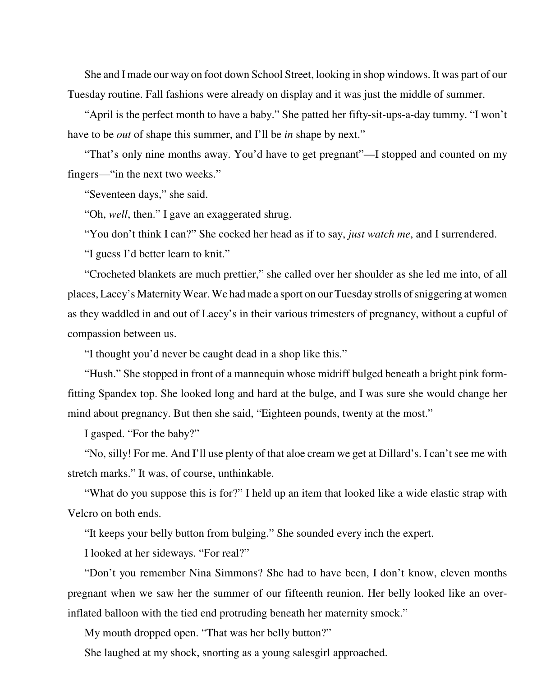She and I made our way on foot down School Street, looking in shop windows. It was part of our Tuesday routine. Fall fashions were already on display and it was just the middle of summer.

"April is the perfect month to have a baby." She patted her fifty-sit-ups-a-day tummy. "I won't have to be *out* of shape this summer, and I'll be *in* shape by next."

"That's only nine months away. You'd have to get pregnant"—I stopped and counted on my fingers—"in the next two weeks."

"Seventeen days," she said.

"Oh, *well*, then." I gave an exaggerated shrug.

"You don't think I can?" She cocked her head as if to say, *just watch me*, and I surrendered.

"I guess I'd better learn to knit."

"Crocheted blankets are much prettier," she called over her shoulder as she led me into, of all places, Lacey's Maternity Wear. We had made a sport on our Tuesday strolls of sniggering at women as they waddled in and out of Lacey's in their various trimesters of pregnancy, without a cupful of compassion between us.

"I thought you'd never be caught dead in a shop like this."

"Hush." She stopped in front of a mannequin whose midriff bulged beneath a bright pink formfitting Spandex top. She looked long and hard at the bulge, and I was sure she would change her mind about pregnancy. But then she said, "Eighteen pounds, twenty at the most."

I gasped. "For the baby?"

"No, silly! For me. And I'll use plenty of that aloe cream we get at Dillard's. I can't see me with stretch marks." It was, of course, unthinkable.

"What do you suppose this is for?" I held up an item that looked like a wide elastic strap with Velcro on both ends.

"It keeps your belly button from bulging." She sounded every inch the expert.

I looked at her sideways. "For real?"

"Don't you remember Nina Simmons? She had to have been, I don't know, eleven months pregnant when we saw her the summer of our fifteenth reunion. Her belly looked like an overinflated balloon with the tied end protruding beneath her maternity smock."

My mouth dropped open. "That was her belly button?"

She laughed at my shock, snorting as a young salesgirl approached.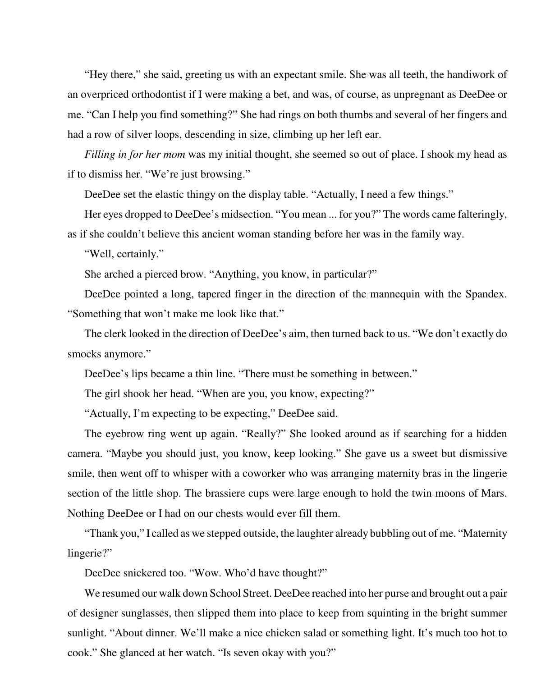"Hey there," she said, greeting us with an expectant smile. She was all teeth, the handiwork of an overpriced orthodontist if I were making a bet, and was, of course, as unpregnant as DeeDee or me. "Can I help you find something?" She had rings on both thumbs and several of her fingers and had a row of silver loops, descending in size, climbing up her left ear.

*Filling in for her mom* was my initial thought, she seemed so out of place. I shook my head as if to dismiss her. "We're just browsing."

DeeDee set the elastic thingy on the display table. "Actually, I need a few things."

Her eyes dropped to DeeDee's midsection. "You mean ... for you?" The words came falteringly,

as if she couldn't believe this ancient woman standing before her was in the family way.

"Well, certainly."

She arched a pierced brow. "Anything, you know, in particular?"

DeeDee pointed a long, tapered finger in the direction of the mannequin with the Spandex. "Something that won't make me look like that."

The clerk looked in the direction of DeeDee's aim, then turned back to us. "We don't exactly do smocks anymore."

DeeDee's lips became a thin line. "There must be something in between."

The girl shook her head. "When are you, you know, expecting?"

"Actually, I'm expecting to be expecting," DeeDee said.

The eyebrow ring went up again. "Really?" She looked around as if searching for a hidden camera. "Maybe you should just, you know, keep looking." She gave us a sweet but dismissive smile, then went off to whisper with a coworker who was arranging maternity bras in the lingerie section of the little shop. The brassiere cups were large enough to hold the twin moons of Mars. Nothing DeeDee or I had on our chests would ever fill them.

"Thank you," I called as we stepped outside, the laughter already bubbling out of me. "Maternity lingerie?"

DeeDee snickered too. "Wow. Who'd have thought?"

We resumed our walk down School Street. DeeDee reached into her purse and brought out a pair of designer sunglasses, then slipped them into place to keep from squinting in the bright summer sunlight. "About dinner. We'll make a nice chicken salad or something light. It's much too hot to cook." She glanced at her watch. "Is seven okay with you?"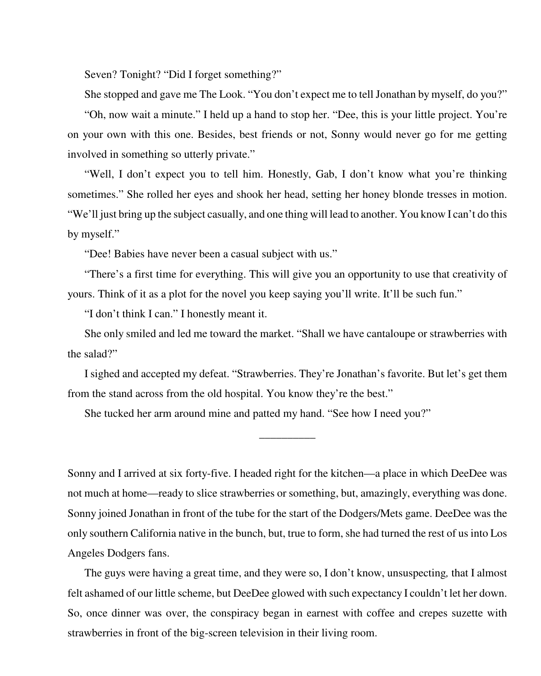Seven? Tonight? "Did I forget something?"

She stopped and gave me The Look. "You don't expect me to tell Jonathan by myself, do you?"

"Oh, now wait a minute." I held up a hand to stop her. "Dee, this is your little project. You're on your own with this one. Besides, best friends or not, Sonny would never go for me getting involved in something so utterly private."

"Well, I don't expect you to tell him. Honestly, Gab, I don't know what you're thinking sometimes." She rolled her eyes and shook her head, setting her honey blonde tresses in motion. "We'll just bring up the subject casually, and one thing will lead to another. You know I can't do this by myself."

"Dee! Babies have never been a casual subject with us."

"There's a first time for everything. This will give you an opportunity to use that creativity of yours. Think of it as a plot for the novel you keep saying you'll write. It'll be such fun."

"I don't think I can." I honestly meant it.

She only smiled and led me toward the market. "Shall we have cantaloupe or strawberries with the salad?"

I sighed and accepted my defeat. "Strawberries. They're Jonathan's favorite. But let's get them from the stand across from the old hospital. You know they're the best."

\_\_\_\_\_\_\_\_\_\_

She tucked her arm around mine and patted my hand. "See how I need you?"

Sonny and I arrived at six forty-five. I headed right for the kitchen—a place in which DeeDee was not much at home—ready to slice strawberries or something, but, amazingly, everything was done. Sonny joined Jonathan in front of the tube for the start of the Dodgers/Mets game. DeeDee was the only southern California native in the bunch, but, true to form, she had turned the rest of us into Los Angeles Dodgers fans.

The guys were having a great time, and they were so, I don't know, unsuspecting*,* that I almost felt ashamed of our little scheme, but DeeDee glowed with such expectancy I couldn't let her down. So, once dinner was over, the conspiracy began in earnest with coffee and crepes suzette with strawberries in front of the big-screen television in their living room.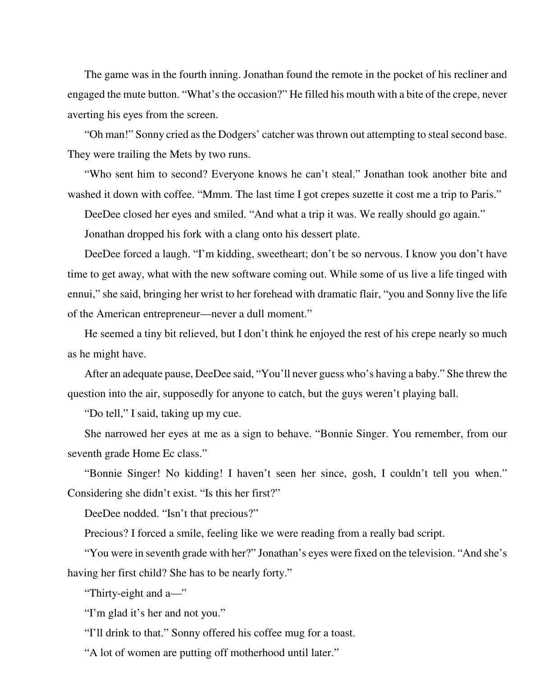The game was in the fourth inning. Jonathan found the remote in the pocket of his recliner and engaged the mute button. "What's the occasion?" He filled his mouth with a bite of the crepe, never averting his eyes from the screen.

"Oh man!" Sonny cried as the Dodgers' catcher was thrown out attempting to steal second base. They were trailing the Mets by two runs.

"Who sent him to second? Everyone knows he can't steal." Jonathan took another bite and washed it down with coffee. "Mmm. The last time I got crepes suzette it cost me a trip to Paris."

DeeDee closed her eyes and smiled. "And what a trip it was. We really should go again."

Jonathan dropped his fork with a clang onto his dessert plate.

DeeDee forced a laugh. "I'm kidding, sweetheart; don't be so nervous. I know you don't have time to get away, what with the new software coming out. While some of us live a life tinged with ennui," she said, bringing her wrist to her forehead with dramatic flair, "you and Sonny live the life of the American entrepreneur—never a dull moment."

He seemed a tiny bit relieved, but I don't think he enjoyed the rest of his crepe nearly so much as he might have.

After an adequate pause, DeeDee said, "You'll never guess who's having a baby." She threw the question into the air, supposedly for anyone to catch, but the guys weren't playing ball.

"Do tell," I said, taking up my cue.

She narrowed her eyes at me as a sign to behave. "Bonnie Singer. You remember, from our seventh grade Home Ec class."

"Bonnie Singer! No kidding! I haven't seen her since, gosh, I couldn't tell you when." Considering she didn't exist. "Is this her first?"

DeeDee nodded. "Isn't that precious?"

Precious? I forced a smile, feeling like we were reading from a really bad script.

"You were in seventh grade with her?" Jonathan's eyes were fixed on the television. "And she's having her first child? She has to be nearly forty."

"Thirty-eight and a—"

"I'm glad it's her and not you."

"I'll drink to that." Sonny offered his coffee mug for a toast.

"A lot of women are putting off motherhood until later."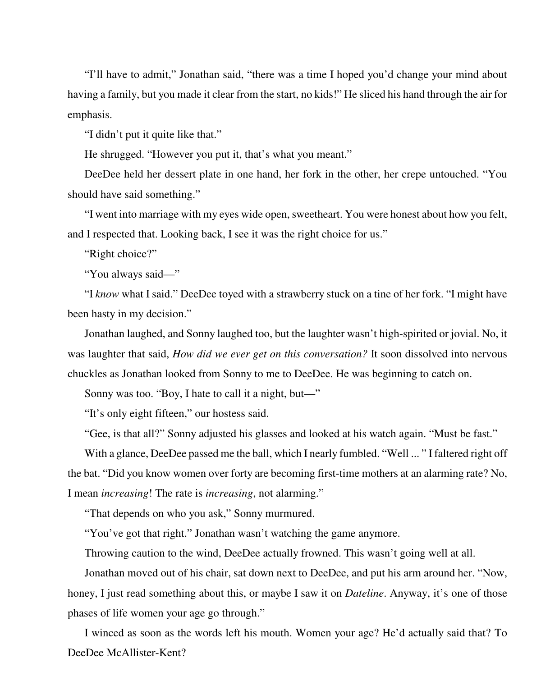"I'll have to admit," Jonathan said, "there was a time I hoped you'd change your mind about having a family, but you made it clear from the start, no kids!" He sliced his hand through the air for emphasis.

"I didn't put it quite like that."

He shrugged. "However you put it, that's what you meant."

DeeDee held her dessert plate in one hand, her fork in the other, her crepe untouched. "You should have said something."

"I went into marriage with my eyes wide open, sweetheart. You were honest about how you felt, and I respected that. Looking back, I see it was the right choice for us."

"Right choice?"

"You always said—"

"I *know* what I said." DeeDee toyed with a strawberry stuck on a tine of her fork. "I might have been hasty in my decision."

Jonathan laughed, and Sonny laughed too, but the laughter wasn't high-spirited or jovial. No, it was laughter that said, *How did we ever get on this conversation?* It soon dissolved into nervous chuckles as Jonathan looked from Sonny to me to DeeDee. He was beginning to catch on.

Sonny was too. "Boy, I hate to call it a night, but—"

"It's only eight fifteen," our hostess said.

"Gee, is that all?" Sonny adjusted his glasses and looked at his watch again. "Must be fast."

With a glance, DeeDee passed me the ball, which I nearly fumbled. "Well ..." I faltered right off the bat. "Did you know women over forty are becoming first-time mothers at an alarming rate? No, I mean *increasing*! The rate is *increasing*, not alarming."

"That depends on who you ask," Sonny murmured.

"You've got that right." Jonathan wasn't watching the game anymore.

Throwing caution to the wind, DeeDee actually frowned. This wasn't going well at all.

Jonathan moved out of his chair, sat down next to DeeDee, and put his arm around her. "Now, honey, I just read something about this, or maybe I saw it on *Dateline*. Anyway, it's one of those phases of life women your age go through."

I winced as soon as the words left his mouth. Women your age? He'd actually said that? To DeeDee McAllister-Kent?